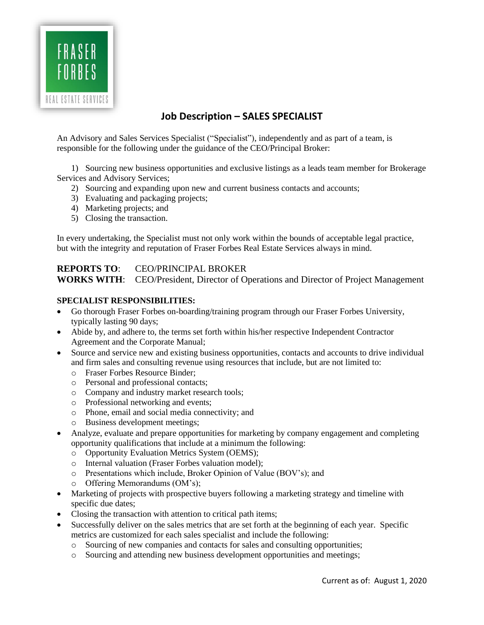

## **Job Description – SALES SPECIALIST**

An Advisory and Sales Services Specialist ("Specialist"), independently and as part of a team, is responsible for the following under the guidance of the CEO/Principal Broker:

1) Sourcing new business opportunities and exclusive listings as a leads team member for Brokerage Services and Advisory Services;

- 2) Sourcing and expanding upon new and current business contacts and accounts;
- 3) Evaluating and packaging projects;
- 4) Marketing projects; and
- 5) Closing the transaction.

In every undertaking, the Specialist must not only work within the bounds of acceptable legal practice, but with the integrity and reputation of Fraser Forbes Real Estate Services always in mind.

## **REPORTS TO**: CEO/PRINCIPAL BROKER

**WORKS WITH**: CEO/President, Director of Operations and Director of Project Management

## **SPECIALIST RESPONSIBILITIES:**

- Go thorough Fraser Forbes on-boarding/training program through our Fraser Forbes University, typically lasting 90 days;
- Abide by, and adhere to, the terms set forth within his/her respective Independent Contractor Agreement and the Corporate Manual;
- Source and service new and existing business opportunities, contacts and accounts to drive individual and firm sales and consulting revenue using resources that include, but are not limited to:
	- o Fraser Forbes Resource Binder;
	- o Personal and professional contacts;
	- o Company and industry market research tools;
	- o Professional networking and events;
	- o Phone, email and social media connectivity; and
	- o Business development meetings;
- Analyze, evaluate and prepare opportunities for marketing by company engagement and completing opportunity qualifications that include at a minimum the following:
	- o Opportunity Evaluation Metrics System (OEMS);
	- o Internal valuation (Fraser Forbes valuation model);
	- o Presentations which include, Broker Opinion of Value (BOV's); and
	- o Offering Memorandums (OM's);
- Marketing of projects with prospective buyers following a marketing strategy and timeline with specific due dates;
- Closing the transaction with attention to critical path items;
- Successfully deliver on the sales metrics that are set forth at the beginning of each year. Specific metrics are customized for each sales specialist and include the following:
	- o Sourcing of new companies and contacts for sales and consulting opportunities;
	- o Sourcing and attending new business development opportunities and meetings;